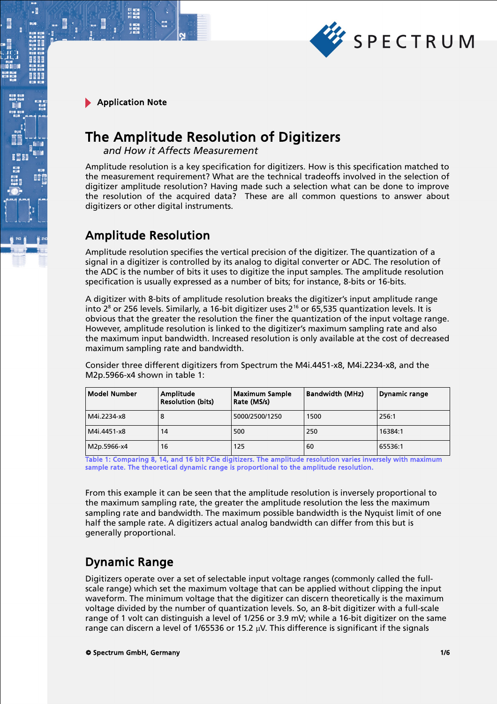

 $\cdot$ E

# The Amplitude Resolution of Digitizers

*and How it Affects Measurement*

Amplitude resolution is a key specification for digitizers. How is this specification matched to the measurement requirement? What are the technical tradeoffs involved in the selection of digitizer amplitude resolution? Having made such a selection what can be done to improve the resolution of the acquired data? These are all common questions to answer about digitizers or other digital instruments.

### Amplitude Resolution

Amplitude resolution specifies the vertical precision of the digitizer. The quantization of a signal in a digitizer is controlled by its analog to digital converter or ADC. The resolution of the ADC is the number of bits it uses to digitize the input samples. The amplitude resolution specification is usually expressed as a number of bits; for instance, 8-bits or 16-bits.

A digitizer with 8-bits of amplitude resolution breaks the digitizer's input amplitude range into  $2^8$  or 256 levels. Similarly, a 16-bit digitizer uses  $2^{16}$  or 65,535 quantization levels. It is obvious that the greater the resolution the finer the quantization of the input voltage range. However, amplitude resolution is linked to the digitizer's maximum sampling rate and also the maximum input bandwidth. Increased resolution is only available at the cost of decreased maximum sampling rate and bandwidth.

Consider three different digitizers from Spectrum the M4i.4451-x8, M4i.2234-x8, and the M2p.5966-x4 shown in table 1:

| <b>Model Number</b> | Amplitude<br><b>Resolution (bits)</b> | <b>Maximum Sample</b><br>Rate (MS/s) | <b>Bandwidth (MHz)</b> | Dynamic range |  |
|---------------------|---------------------------------------|--------------------------------------|------------------------|---------------|--|
| M4i.2234-x8         | 8                                     | 5000/2500/1250                       | 1500                   | 256:1         |  |
| M4i.4451-x8         | 14                                    | 500                                  | 250                    | 16384:1       |  |
| M2p.5966-x4         | 16                                    | 125                                  | 60                     | 65536:1       |  |

Table 1: Comparing 8, 14, and 16 bit PCIe digitizers. The amplitude resolution varies inversely with maximum sample rate. The theoretical dynamic range is proportional to the amplitude resolution.

From this example it can be seen that the amplitude resolution is inversely proportional to the maximum sampling rate, the greater the amplitude resolution the less the maximum sampling rate and bandwidth. The maximum possible bandwidth is the Nyquist limit of one half the sample rate. A digitizers actual analog bandwidth can differ from this but is generally proportional.

### Dynamic Range

Digitizers operate over a set of selectable input voltage ranges (commonly called the fullscale range) which set the maximum voltage that can be applied without clipping the input waveform. The minimum voltage that the digitizer can discern theoretically is the maximum voltage divided by the number of quantization levels. So, an 8-bit digitizer with a full-scale range of 1 volt can distinguish a level of  $1/256$  or 3.9 mV; while a 16-bit digitizer on the same range can discern a level of 1/65536 or 15.2  $\mu$ V. This difference is significant if the signals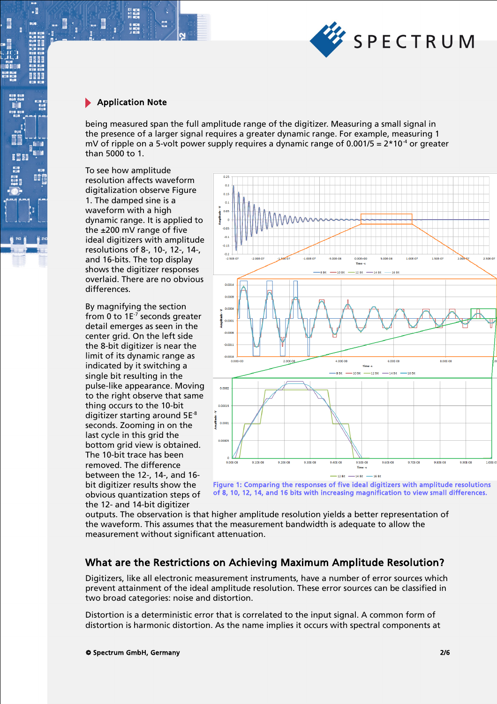

 $\cdot$ 

間

being measured span the full amplitude range of the digitizer. Measuring a small signal in the presence of a larger signal requires a greater dynamic range. For example, measuring 1 mV of ripple on a 5-volt power supply requires a dynamic range of 0.001/5 =  $2*10<sup>-4</sup>$  or greater than 5000 to 1.

To see how amplitude resolution affects waveform digitalization observe Figure 1. The damped sine is a waveform with a high dynamic range. It is applied to the ±200 mV range of five ideal digitizers with amplitude resolutions of 8-, 10-, 12-, 14-, and 16-bits. The top display shows the digitizer responses overlaid. There are no obvious differences.

By magnifying the section from 0 to  $1E^{-7}$  seconds greater detail emerges as seen in the center grid. On the left side the 8-bit digitizer is near the limit of its dynamic range as indicated by it switching a single bit resulting in the pulse-like appearance. Moving to the right observe that same thing occurs to the 10-bit digitizer starting around  $5E^{-8}$ seconds. Zooming in on the last cycle in this grid the bottom grid view is obtained. The 10-bit trace has been removed. The difference between the 12-, 14-, and 16 bit digitizer results show the obvious quantization steps of the 12- and 14-bit digitizer



Figure 1: Comparing the responses of five ideal digitizers with amplitude resolutions of 8, 10, 12, 14, and 16 bits with increasing magnification to view small differences.

outputs. The observation is that higher amplitude resolution yields a better representation of the waveform. This assumes that the measurement bandwidth is adequate to allow the measurement without significant attenuation.

#### What are the Restrictions on Achieving Maximum Amplitude Resolution?

Digitizers, like all electronic measurement instruments, have a number of error sources which prevent attainment of the ideal amplitude resolution. These error sources can be classified in two broad categories: noise and distortion.

Distortion is a deterministic error that is correlated to the input signal. A common form of distortion is harmonic distortion. As the name implies it occurs with spectral components at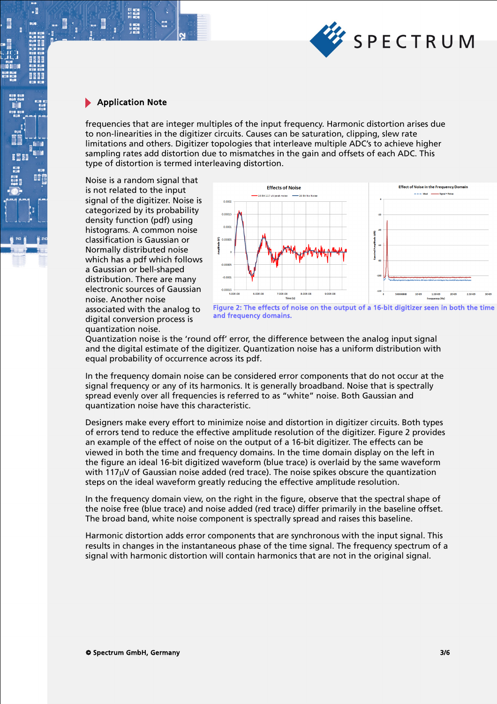

 $\cdot$ 

frequencies that are integer multiples of the input frequency. Harmonic distortion arises due to non-linearities in the digitizer circuits. Causes can be saturation, clipping, slew rate limitations and others. Digitizer topologies that interleave multiple ADC's to achieve higher sampling rates add distortion due to mismatches in the gain and offsets of each ADC. This type of distortion is termed interleaving distortion.

Noise is a random signal that is not related to the input signal of the digitizer. Noise is categorized by its probability density function (pdf) using histograms. A common noise classification is Gaussian or Normally distributed noise which has a pdf which follows a Gaussian or bell-shaped distribution. There are many electronic sources of Gaussian noise. Another noise associated with the analog to digital conversion process is quantization noise.



Figure 2: The effects of noise on the output of a 16-bit digitizer seen in both the time and frequency domains.

Quantization noise is the 'round off' error, the difference between the analog input signal and the digital estimate of the digitizer. Quantization noise has a uniform distribution with equal probability of occurrence across its pdf.

In the frequency domain noise can be considered error components that do not occur at the signal frequency or any of its harmonics. It is generally broadband. Noise that is spectrally spread evenly over all frequencies is referred to as "white" noise. Both Gaussian and quantization noise have this characteristic.

Designers make every effort to minimize noise and distortion in digitizer circuits. Both types of errors tend to reduce the effective amplitude resolution of the digitizer. Figure 2 provides an example of the effect of noise on the output of a 16-bit digitizer. The effects can be viewed in both the time and frequency domains. In the time domain display on the left in the figure an ideal 16-bit digitized waveform (blue trace) is overlaid by the same waveform with  $117\mu$ V of Gaussian noise added (red trace). The noise spikes obscure the quantization steps on the ideal waveform greatly reducing the effective amplitude resolution.

In the frequency domain view, on the right in the figure, observe that the spectral shape of the noise free (blue trace) and noise added (red trace) differ primarily in the baseline offset. The broad band, white noise component is spectrally spread and raises this baseline.

Harmonic distortion adds error components that are synchronous with the input signal. This results in changes in the instantaneous phase of the time signal. The frequency spectrum of a signal with harmonic distortion will contain harmonics that are not in the original signal.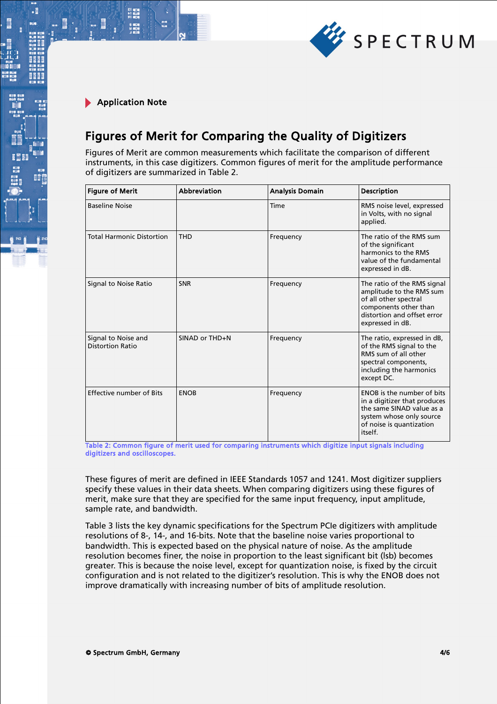

.

## Figures of Merit for Comparing the Quality of Digitizers

Figures of Merit are common measurements which facilitate the comparison of different instruments, in this case digitizers. Common figures of merit for the amplitude performance of digitizers are summarized in Table 2.

| <b>Figure of Merit</b>                         | Abbreviation   | <b>Analysis Domain</b> | <b>Description</b>                                                                                                                                           |
|------------------------------------------------|----------------|------------------------|--------------------------------------------------------------------------------------------------------------------------------------------------------------|
| <b>Baseline Noise</b>                          |                | Time                   | RMS noise level, expressed<br>in Volts, with no signal<br>applied.                                                                                           |
| <b>Total Harmonic Distortion</b>               | <b>THD</b>     | Frequency              | The ratio of the RMS sum<br>of the significant<br>harmonics to the RMS<br>value of the fundamental<br>expressed in dB.                                       |
| Signal to Noise Ratio                          | <b>SNR</b>     | Frequency              | The ratio of the RMS signal<br>amplitude to the RMS sum<br>of all other spectral<br>components other than<br>distortion and offset error<br>expressed in dB. |
| Signal to Noise and<br><b>Distortion Ratio</b> | SINAD or THD+N | Frequency              | The ratio, expressed in dB,<br>of the RMS signal to the<br>RMS sum of all other<br>spectral components,<br>including the harmonics<br>except DC.             |
| Effective number of Bits                       | <b>ENOB</b>    | Frequency              | ENOB is the number of bits<br>in a digitizer that produces<br>the same SINAD value as a<br>system whose only source<br>of noise is quantization<br>itself.   |

Table 2: Common figure of merit used for comparing instruments which digitize input signals including digitizers and oscilloscopes.

These figures of merit are defined in IEEE Standards 1057 and 1241. Most digitizer suppliers specify these values in their data sheets. When comparing digitizers using these figures of merit, make sure that they are specified for the same input frequency, input amplitude, sample rate, and bandwidth.

Table 3 lists the key dynamic specifications for the Spectrum PCIe digitizers with amplitude resolutions of 8-, 14-, and 16-bits. Note that the baseline noise varies proportional to bandwidth. This is expected based on the physical nature of noise. As the amplitude resolution becomes finer, the noise in proportion to the least significant bit (lsb) becomes greater. This is because the noise level, except for quantization noise, is fixed by the circuit configuration and is not related to the digitizer's resolution. This is why the ENOB does not improve dramatically with increasing number of bits of amplitude resolution.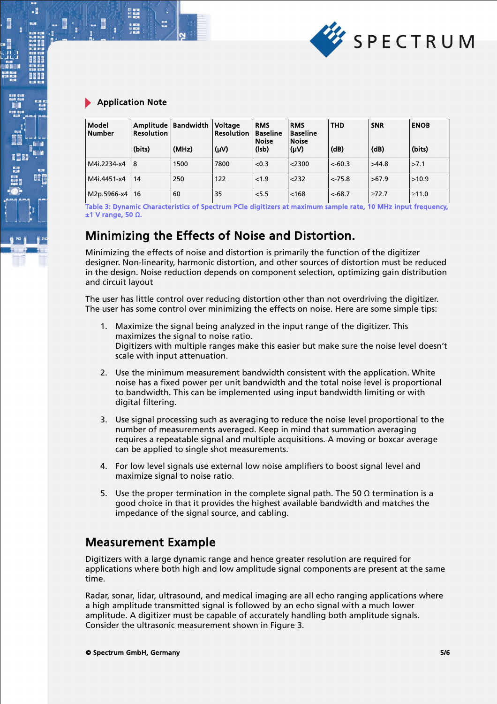

.

| Model<br><b>Number</b> | <b>Resolution</b><br>(bits) | Amplitude   Bandwidth<br>(MHz) | Voltage<br><b>Resolution</b><br>(UV) | <b>RMS</b><br><b>Baseline</b><br><b>Noise</b><br>(Isb) | <b>RMS</b><br><b>Baseline</b><br><b>Noise</b><br>$(\mu \vee)$ | <b>THD</b><br>(dB) | <b>SNR</b><br>(dB) | <b>ENOB</b><br>(bits) |
|------------------------|-----------------------------|--------------------------------|--------------------------------------|--------------------------------------------------------|---------------------------------------------------------------|--------------------|--------------------|-----------------------|
| M4i.2234-x4            | 18                          | 1500                           | 7800                                 | < 0.3                                                  | $<$ 2300                                                      | $< -60.3$          | >44.8              | >7.1                  |
| M4i.4451-x4            | 14                          | 250                            | 122                                  | < 1.9                                                  | 232                                                           | $< -75.8$          | >67.9              | >10.9                 |
| $M2p.5966-x4 \mid 16$  |                             | 60                             | 35                                   | 5.5                                                    | < 168                                                         | $<$ -68.7          | >72.7              | >11.0                 |

Table 3: Dynamic Characteristics of Spectrum PCIe digitizers at maximum sample rate, 10 MHz input frequency, ±1 V range, 50 Ω.

### Minimizing the Effects of Noise and Distortion.

Minimizing the effects of noise and distortion is primarily the function of the digitizer designer. Non-linearity, harmonic distortion, and other sources of distortion must be reduced in the design. Noise reduction depends on component selection, optimizing gain distribution and circuit layout

The user has little control over reducing distortion other than not overdriving the digitizer. The user has some control over minimizing the effects on noise. Here are some simple tips:

- 1. Maximize the signal being analyzed in the input range of the digitizer. This maximizes the signal to noise ratio. Digitizers with multiple ranges make this easier but make sure the noise level doesn't scale with input attenuation.
- 2. Use the minimum measurement bandwidth consistent with the application. White noise has a fixed power per unit bandwidth and the total noise level is proportional to bandwidth. This can be implemented using input bandwidth limiting or with digital filtering.
- 3. Use signal processing such as averaging to reduce the noise level proportional to the number of measurements averaged. Keep in mind that summation averaging requires a repeatable signal and multiple acquisitions. A moving or boxcar average can be applied to single shot measurements.
- 4. For low level signals use external low noise amplifiers to boost signal level and maximize signal to noise ratio.
- 5. Use the proper termination in the complete signal path. The 50 Ω termination is a good choice in that it provides the highest available bandwidth and matches the impedance of the signal source, and cabling.

#### Measurement Example

Digitizers with a large dynamic range and hence greater resolution are required for applications where both high and low amplitude signal components are present at the same time.

Radar, sonar, lidar, ultrasound, and medical imaging are all echo ranging applications where a high amplitude transmitted signal is followed by an echo signal with a much lower amplitude. A digitizer must be capable of accurately handling both amplitude signals. Consider the ultrasonic measurement shown in Figure 3.